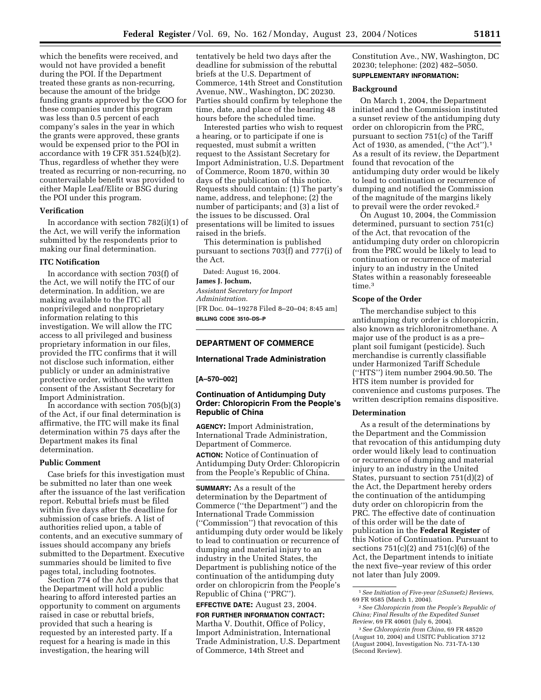which the benefits were received, and would not have provided a benefit during the POI. If the Department treated these grants as non-recurring, because the amount of the bridge funding grants approved by the GOO for these companies under this program was less than 0.5 percent of each company's sales in the year in which the grants were approved, these grants would be expensed prior to the POI in accordance with 19 CFR 351.524(b)(2). Thus, regardless of whether they were treated as recurring or non-recurring, no countervailable benefit was provided to either Maple Leaf/Elite or BSG during the POI under this program.

### **Verification**

In accordance with section 782(i)(1) of the Act, we will verify the information submitted by the respondents prior to making our final determination.

### **ITC Notification**

In accordance with section 703(f) of the Act, we will notify the ITC of our determination. In addition, we are making available to the ITC all nonprivileged and nonproprietary information relating to this investigation. We will allow the ITC access to all privileged and business proprietary information in our files, provided the ITC confirms that it will not disclose such information, either publicly or under an administrative protective order, without the written consent of the Assistant Secretary for Import Administration.

In accordance with section 705(b)(3) of the Act, if our final determination is affirmative, the ITC will make its final determination within 75 days after the Department makes its final determination.

## **Public Comment**

Case briefs for this investigation must be submitted no later than one week after the issuance of the last verification report. Rebuttal briefs must be filed within five days after the deadline for submission of case briefs. A list of authorities relied upon, a table of contents, and an executive summary of issues should accompany any briefs submitted to the Department. Executive summaries should be limited to five pages total, including footnotes.

Section 774 of the Act provides that the Department will hold a public hearing to afford interested parties an opportunity to comment on arguments raised in case or rebuttal briefs, provided that such a hearing is requested by an interested party. If a request for a hearing is made in this investigation, the hearing will

tentatively be held two days after the deadline for submission of the rebuttal briefs at the U.S. Department of Commerce, 14th Street and Constitution Avenue, NW., Washington, DC 20230. Parties should confirm by telephone the time, date, and place of the hearing 48 hours before the scheduled time.

Interested parties who wish to request a hearing, or to participate if one is requested, must submit a written request to the Assistant Secretary for Import Administration, U.S. Department of Commerce, Room 1870, within 30 days of the publication of this notice. Requests should contain: (1) The party's name, address, and telephone; (2) the number of participants; and (3) a list of the issues to be discussed. Oral presentations will be limited to issues raised in the briefs.

This determination is published pursuant to sections 703(f) and 777(i) of the Act.

Dated: August 16, 2004.

**James J. Jochum,** 

*Assistant Secretary for Import Administration.* [FR Doc. 04–19278 Filed 8–20–04; 8:45 am] **BILLING CODE 3510–DS–P**

# **DEPARTMENT OF COMMERCE**

# **International Trade Administration**

#### **[A–570–002]**

# **Continuation of Antidumping Duty Order: Chloropicrin From the People's Republic of China**

**AGENCY:** Import Administration, International Trade Administration, Department of Commerce.

**ACTION:** Notice of Continuation of Antidumping Duty Order: Chloropicrin from the People's Republic of China.

**SUMMARY:** As a result of the determination by the Department of Commerce (''the Department'') and the International Trade Commission (''Commission'') that revocation of this antidumping duty order would be likely to lead to continuation or recurrence of dumping and material injury to an industry in the United States, the Department is publishing notice of the continuation of the antidumping duty order on chloropicrin from the People's Republic of China (''PRC'').

**EFFECTIVE DATE:** August 23, 2004.

**FOR FURTHER INFORMATION CONTACT:** Martha V. Douthit, Office of Policy, Import Administration, International Trade Administration, U.S. Department of Commerce, 14th Street and

Constitution Ave., NW, Washington, DC 20230; telephone: (202) 482–5050. **SUPPLEMENTARY INFORMATION:**

#### **Background**

On March 1, 2004, the Department initiated and the Commission instituted a sunset review of the antidumping duty order on chloropicrin from the PRC, pursuant to section 751(c) of the Tariff Act of 1930, as amended, ("the Act").<sup>1</sup> As a result of its review, the Department found that revocation of the antidumping duty order would be likely to lead to continuation or recurrence of dumping and notified the Commission of the magnitude of the margins likely to prevail were the order revoked.2

On August 10, 2004, the Commission determined, pursuant to section 751(c) of the Act, that revocation of the antidumping duty order on chloropicrin from the PRC would be likely to lead to continuation or recurrence of material injury to an industry in the United States within a reasonably foreseeable time.<sup>3</sup>

## **Scope of the Order**

The merchandise subject to this antidumping duty order is chloropicrin, also known as trichloronitromethane. A major use of the product is as a pre– plant soil fumigant (pesticide). Such merchandise is currently classifiable under Harmonized Tariff Schedule (''HTS'') item number 2904.90.50. The HTS item number is provided for convenience and customs purposes. The written description remains dispositive.

## **Determination**

As a result of the determinations by the Department and the Commission that revocation of this antidumping duty order would likely lead to continuation or recurrence of dumping and material injury to an industry in the United States, pursuant to section 751(d)(2) of the Act, the Department hereby orders the continuation of the antidumping duty order on chloropicrin from the PRC. The effective date of continuation of this order will be the date of publication in the **Federal Register** of this Notice of Continuation. Pursuant to sections  $751(c)(2)$  and  $751(c)(6)$  of the Act, the Department intends to initiate the next five–year review of this order not later than July 2009.

<sup>1</sup>*See Initiation of Five-year (*≥*Sunset*≥*) Reviews*, 69 FR 9585 (March 1, 2004).

<sup>2</sup>*See Chloropicrin from the People's Republic of China; Final Results of the Expedited Sunset Review*, 69 FR 40601 (July 6, 2004).

<sup>3</sup>*See Chloropicrin from China*, 69 FR 48520 (August 10, 2004) and USITC Publication 3712 (August 2004), Investigation No. 731-TA-130 (Second Review).